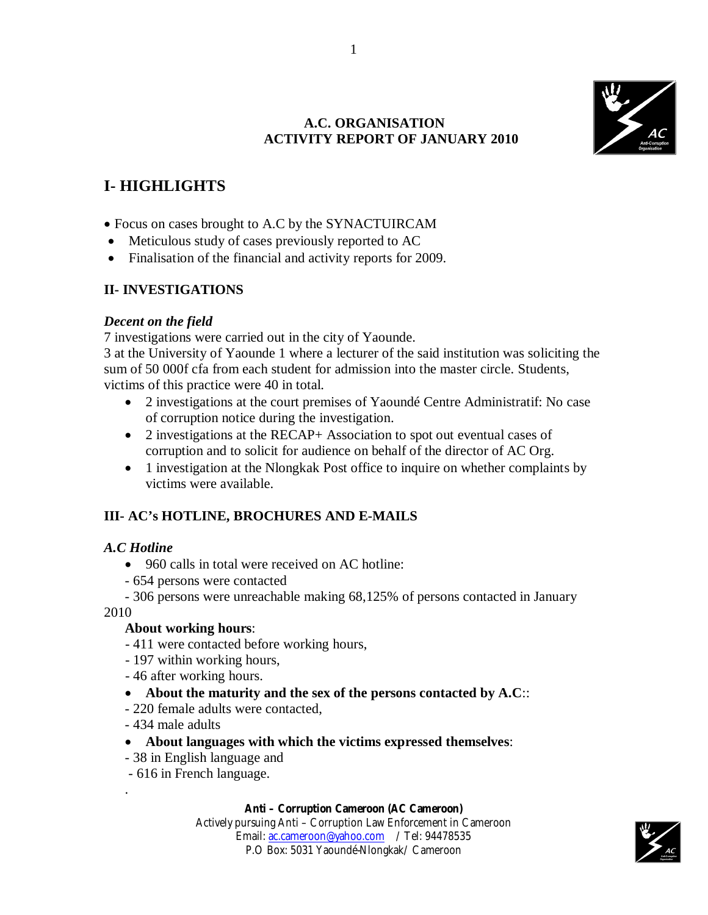

# **A.C. ORGANISATION ACTIVITY REPORT OF JANUARY 2010**

# **I- HIGHLIGHTS**

- Focus on cases brought to A.C by the SYNACTUIRCAM
- Meticulous study of cases previously reported to AC
- Finalisation of the financial and activity reports for 2009.

# **II- INVESTIGATIONS**

### *Decent on the field*

7 investigations were carried out in the city of Yaounde.

3 at the University of Yaounde 1 where a lecturer of the said institution was soliciting the sum of 50 000f cfa from each student for admission into the master circle. Students, victims of this practice were 40 in total.

- 2 investigations at the court premises of Yaoundé Centre Administratif: No case of corruption notice during the investigation.
- 2 investigations at the RECAP+ Association to spot out eventual cases of corruption and to solicit for audience on behalf of the director of AC Org.
- 1 investigation at the Nlongkak Post office to inquire on whether complaints by victims were available.

# **III- AC's HOTLINE, BROCHURES AND E-MAILS**

### *A.C Hotline*

- 960 calls in total were received on AC hotline:
- 654 persons were contacted

- 306 persons were unreachable making 68,125% of persons contacted in January 2010

# **About working hours**:

- 411 were contacted before working hours,
- 197 within working hours,
- 46 after working hours.
- **About the maturity and the sex of the persons contacted by A.C**::
- 220 female adults were contacted,
- 434 male adults

.

- **About languages with which the victims expressed themselves**:
- 38 in English language and
- 616 in French language.

#### **Anti – Corruption Cameroon (AC Cameroon)**

Actively pursuing Anti – Corruption Law Enforcement in Cameroon Email: ac.cameroon@yahoo.com / Tel: 94478535 P.O Box: 5031 Yaoundé-Nlongkak/ Cameroon

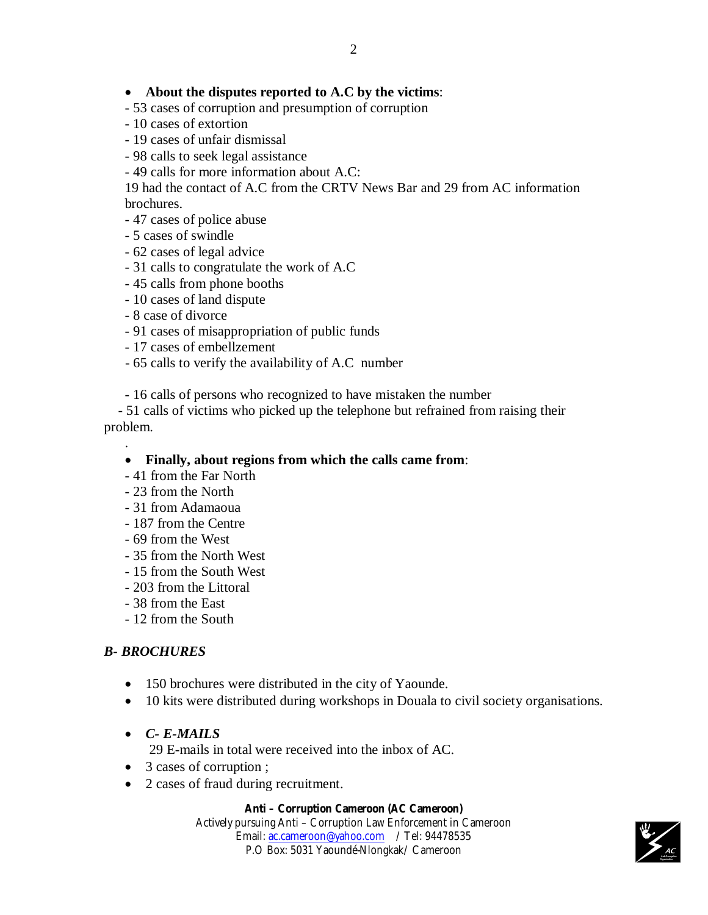### **About the disputes reported to A.C by the victims**:

- 53 cases of corruption and presumption of corruption
- 10 cases of extortion
- 19 cases of unfair dismissal
- 98 calls to seek legal assistance
- 49 calls for more information about A.C:

19 had the contact of A.C from the CRTV News Bar and 29 from AC information brochures.

- 47 cases of police abuse
- 5 cases of swindle
- 62 cases of legal advice
- 31 calls to congratulate the work of A.C
- 45 calls from phone booths
- 10 cases of land dispute
- 8 case of divorce
- 91 cases of misappropriation of public funds
- 17 cases of embellzement
- 65 calls to verify the availability of A.C number
- 16 calls of persons who recognized to have mistaken the number

 - 51 calls of victims who picked up the telephone but refrained from raising their problem.

#### **Finally, about regions from which the calls came from**:

- 41 from the Far North
- 23 from the North

.

- 31 from Adamaoua
- 187 from the Centre
- 69 from the West
- 35 from the North West
- 15 from the South West
- 203 from the Littoral
- 38 from the East
- 12 from the South

### *B- BROCHURES*

- 150 brochures were distributed in the city of Yaounde.
- 10 kits were distributed during workshops in Douala to civil society organisations.

### *C- E-MAILS*

29 E-mails in total were received into the inbox of AC.

- 3 cases of corruption ;
- 2 cases of fraud during recruitment.

#### **Anti – Corruption Cameroon (AC Cameroon)**

Actively pursuing Anti – Corruption Law Enforcement in Cameroon Email: ac.cameroon@yahoo.com / Tel: 94478535 P.O Box: 5031 Yaoundé-Nlongkak/ Cameroon

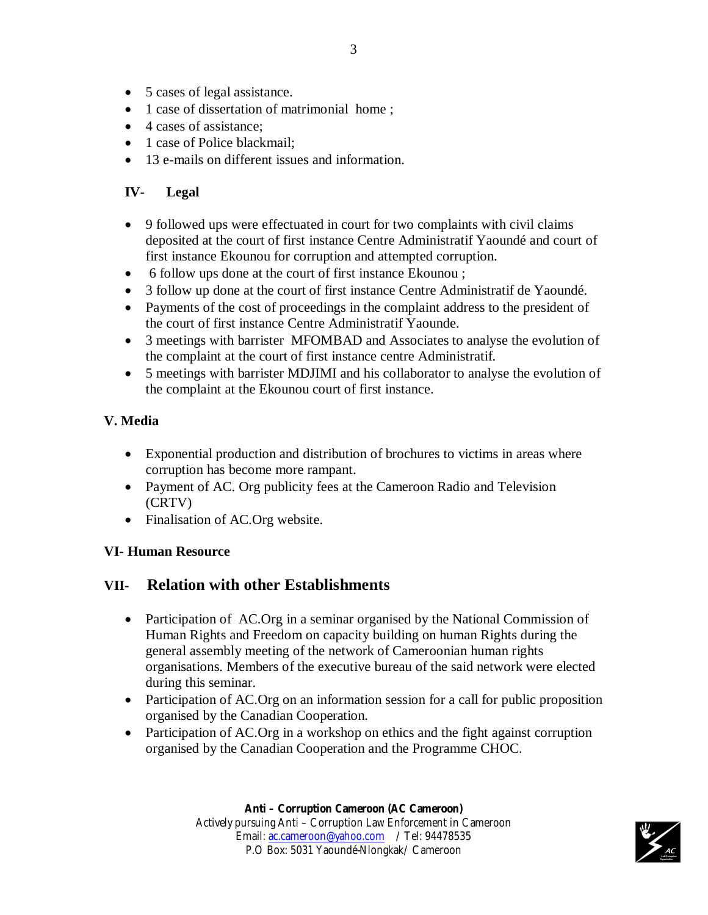- 5 cases of legal assistance.
- 1 case of dissertation of matrimonial home;
- 4 cases of assistance;
- 1 case of Police blackmail:
- 13 e-mails on different issues and information.

# **IV- Legal**

- 9 followed ups were effectuated in court for two complaints with civil claims deposited at the court of first instance Centre Administratif Yaoundé and court of first instance Ekounou for corruption and attempted corruption.
- 6 follow ups done at the court of first instance Ekounou ;
- 3 follow up done at the court of first instance Centre Administratif de Yaoundé.
- Payments of the cost of proceedings in the complaint address to the president of the court of first instance Centre Administratif Yaounde.
- 3 meetings with barrister MFOMBAD and Associates to analyse the evolution of the complaint at the court of first instance centre Administratif.
- 5 meetings with barrister MDJIMI and his collaborator to analyse the evolution of the complaint at the Ekounou court of first instance.

# **V. Media**

- Exponential production and distribution of brochures to victims in areas where corruption has become more rampant.
- Payment of AC. Org publicity fees at the Cameroon Radio and Television (CRTV)
- Finalisation of AC.Org website.

# **VI- Human Resource**

# **VII- Relation with other Establishments**

- Participation of AC.Org in a seminar organised by the National Commission of Human Rights and Freedom on capacity building on human Rights during the general assembly meeting of the network of Cameroonian human rights organisations. Members of the executive bureau of the said network were elected during this seminar.
- Participation of AC.Org on an information session for a call for public proposition organised by the Canadian Cooperation.
- Participation of AC.Org in a workshop on ethics and the fight against corruption organised by the Canadian Cooperation and the Programme CHOC.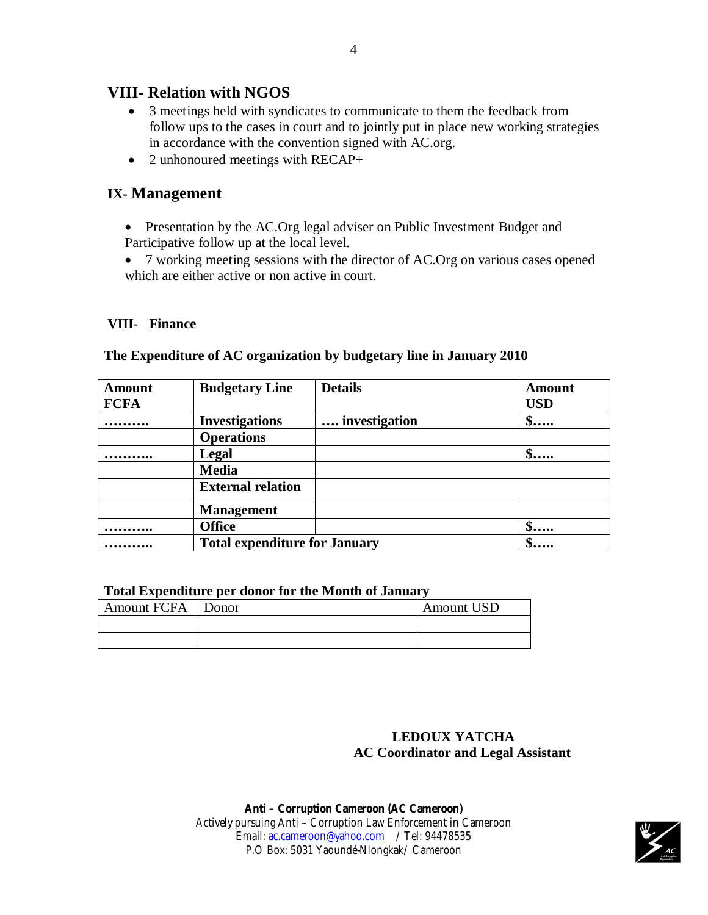# **VIII- Relation with NGOS**

- 3 meetings held with syndicates to communicate to them the feedback from follow ups to the cases in court and to jointly put in place new working strategies in accordance with the convention signed with AC.org.
- $\bullet$  2 unhonoured meetings with RECAP+

# **IX- Management**

- Presentation by the AC.Org legal adviser on Public Investment Budget and Participative follow up at the local level.
- 7 working meeting sessions with the director of AC.Org on various cases opened which are either active or non active in court.

### **VIII- Finance**

| <b>Amount</b> | <b>Budgetary Line</b>                | <b>Details</b> | <b>Amount</b>       |
|---------------|--------------------------------------|----------------|---------------------|
| <b>FCFA</b>   |                                      |                | <b>USD</b>          |
|               | <b>Investigations</b>                | investigation  | $\mathbf{\$}$       |
|               | <b>Operations</b>                    |                |                     |
|               | Legal                                |                | $\ddot{\textbf{S}}$ |
|               | <b>Media</b>                         |                |                     |
|               | <b>External relation</b>             |                |                     |
|               | <b>Management</b>                    |                |                     |
|               | <b>Office</b>                        |                | $\mathbf{\$}$       |
|               | <b>Total expenditure for January</b> |                |                     |

#### **The Expenditure of AC organization by budgetary line in January 2010**

#### **Total Expenditure per donor for the Month of January**

| Amount FCFA Donor | <b>Amount USD</b> |
|-------------------|-------------------|
|                   |                   |
|                   |                   |

# **LEDOUX YATCHA AC Coordinator and Legal Assistant**